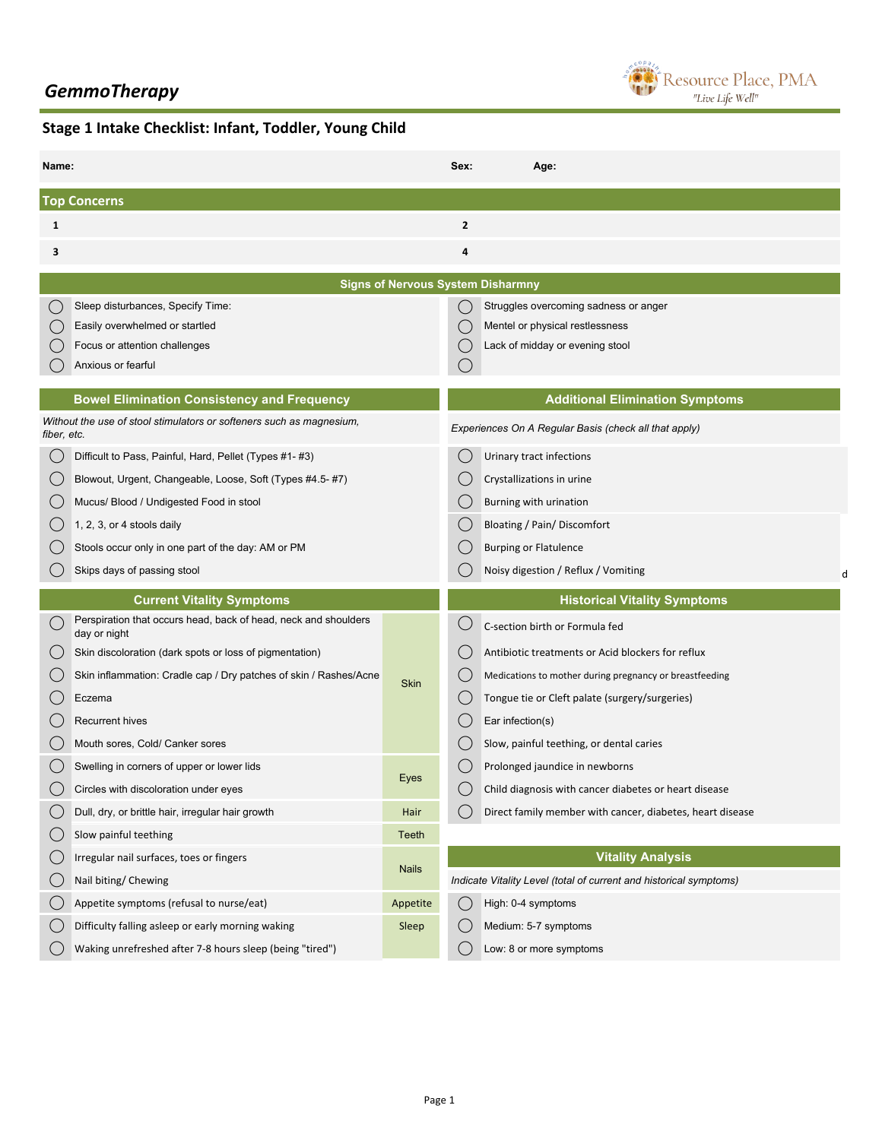## *GemmoTherapy*



## **Stage 1 Intake Checklist: Infant, Toddler, Young Child**

| Name:                                    |                                                                                 |                                              | Sex:           | Age:                                                               |   |  |  |  |  |
|------------------------------------------|---------------------------------------------------------------------------------|----------------------------------------------|----------------|--------------------------------------------------------------------|---|--|--|--|--|
| <b>Top Concerns</b>                      |                                                                                 |                                              |                |                                                                    |   |  |  |  |  |
| 1                                        |                                                                                 |                                              | $\overline{2}$ |                                                                    |   |  |  |  |  |
| 3                                        |                                                                                 |                                              | 4              |                                                                    |   |  |  |  |  |
| <b>Signs of Nervous System Disharmny</b> |                                                                                 |                                              |                |                                                                    |   |  |  |  |  |
|                                          | Sleep disturbances, Specify Time:                                               | ( )<br>Struggles overcoming sadness or anger |                |                                                                    |   |  |  |  |  |
|                                          | Easily overwhelmed or startled                                                  |                                              |                | Mentel or physical restlessness                                    |   |  |  |  |  |
|                                          | Focus or attention challenges                                                   |                                              |                | Lack of midday or evening stool                                    |   |  |  |  |  |
|                                          | Anxious or fearful                                                              |                                              |                |                                                                    |   |  |  |  |  |
|                                          | <b>Bowel Elimination Consistency and Frequency</b>                              |                                              |                | <b>Additional Elimination Symptoms</b>                             |   |  |  |  |  |
| fiber, etc.                              | Without the use of stool stimulators or softeners such as magnesium,            |                                              |                | Experiences On A Regular Basis (check all that apply)              |   |  |  |  |  |
|                                          | Difficult to Pass, Painful, Hard, Pellet (Types #1-#3)                          |                                              |                | Urinary tract infections                                           |   |  |  |  |  |
|                                          | Blowout, Urgent, Changeable, Loose, Soft (Types #4.5- #7)                       |                                              |                | Crystallizations in urine                                          |   |  |  |  |  |
|                                          | Mucus/ Blood / Undigested Food in stool                                         |                                              |                | Burning with urination                                             |   |  |  |  |  |
|                                          | 1, 2, 3, or 4 stools daily                                                      |                                              |                | <b>Bloating / Pain/ Discomfort</b>                                 |   |  |  |  |  |
|                                          | Stools occur only in one part of the day: AM or PM                              |                                              |                | <b>Burping or Flatulence</b>                                       |   |  |  |  |  |
|                                          | Skips days of passing stool                                                     |                                              |                | Noisy digestion / Reflux / Vomiting                                | d |  |  |  |  |
|                                          | <b>Current Vitality Symptoms</b>                                                |                                              |                | <b>Historical Vitality Symptoms</b>                                |   |  |  |  |  |
|                                          | Perspiration that occurs head, back of head, neck and shoulders<br>day or night |                                              |                | C-section birth or Formula fed                                     |   |  |  |  |  |
|                                          | Skin discoloration (dark spots or loss of pigmentation)                         |                                              |                | Antibiotic treatments or Acid blockers for reflux                  |   |  |  |  |  |
|                                          | Skin inflammation: Cradle cap / Dry patches of skin / Rashes/Acne               | <b>Skin</b>                                  |                | Medications to mother during pregnancy or breastfeeding            |   |  |  |  |  |
|                                          | Eczema                                                                          |                                              |                | Tongue tie or Cleft palate (surgery/surgeries)                     |   |  |  |  |  |
|                                          | <b>Recurrent hives</b>                                                          |                                              |                | Ear infection(s)                                                   |   |  |  |  |  |
|                                          | Mouth sores, Cold/ Canker sores                                                 |                                              |                | Slow, painful teething, or dental caries                           |   |  |  |  |  |
|                                          | Swelling in corners of upper or lower lids                                      |                                              |                | Prolonged jaundice in newborns                                     |   |  |  |  |  |
|                                          | Circles with discoloration under eyes                                           | Eyes                                         |                | Child diagnosis with cancer diabetes or heart disease              |   |  |  |  |  |
|                                          | Dull, dry, or brittle hair, irregular hair growth                               | Hair                                         |                | Direct family member with cancer, diabetes, heart disease          |   |  |  |  |  |
| C)                                       | Slow painful teething                                                           | Teeth                                        |                |                                                                    |   |  |  |  |  |
|                                          | Irregular nail surfaces, toes or fingers                                        |                                              |                | <b>Vitality Analysis</b>                                           |   |  |  |  |  |
|                                          |                                                                                 | <b>Nails</b>                                 |                | Indicate Vitality Level (total of current and historical symptoms) |   |  |  |  |  |
| U                                        | Nail biting/ Chewing                                                            |                                              |                |                                                                    |   |  |  |  |  |
|                                          | Appetite symptoms (refusal to nurse/eat)                                        | Appetite                                     |                | High: 0-4 symptoms                                                 |   |  |  |  |  |
|                                          | Difficulty falling asleep or early morning waking                               | Sleep                                        |                | Medium: 5-7 symptoms                                               |   |  |  |  |  |